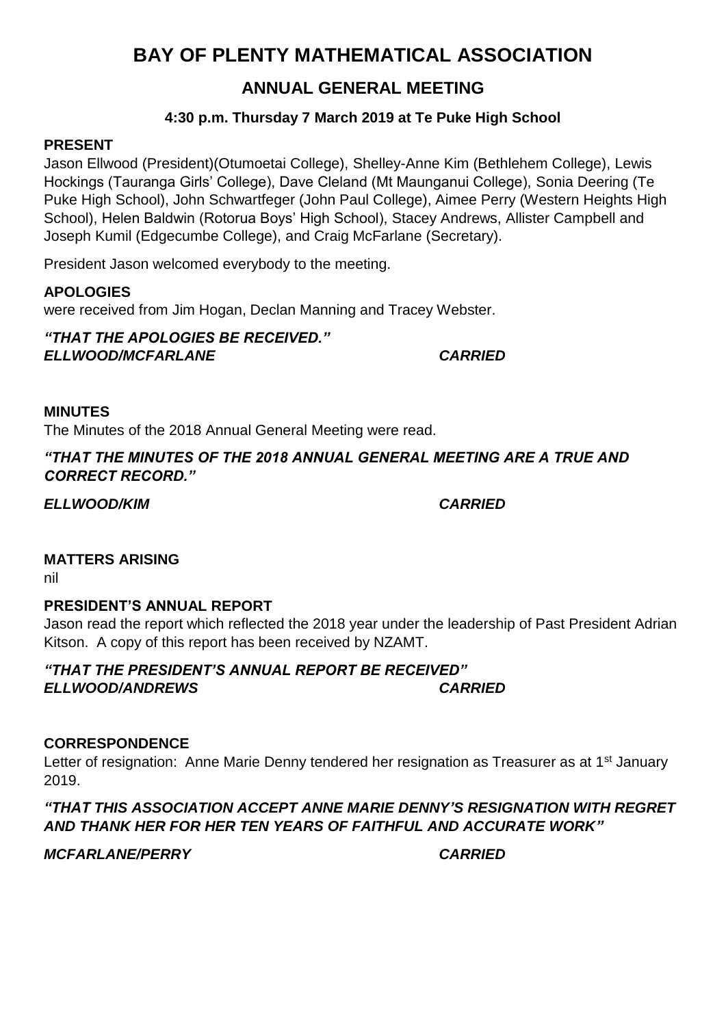# **BAY OF PLENTY MATHEMATICAL ASSOCIATION**

## **ANNUAL GENERAL MEETING**

### **4:30 p.m. Thursday 7 March 2019 at Te Puke High School**

#### **PRESENT**

Jason Ellwood (President)(Otumoetai College), Shelley-Anne Kim (Bethlehem College), Lewis Hockings (Tauranga Girls' College), Dave Cleland (Mt Maunganui College), Sonia Deering (Te Puke High School), John Schwartfeger (John Paul College), Aimee Perry (Western Heights High School), Helen Baldwin (Rotorua Boys' High School), Stacey Andrews, Allister Campbell and Joseph Kumil (Edgecumbe College), and Craig McFarlane (Secretary).

President Jason welcomed everybody to the meeting.

### **APOLOGIES**

were received from Jim Hogan, Declan Manning and Tracey Webster.

*"THAT THE APOLOGIES BE RECEIVED." ELLWOOD/MCFARLANE CARRIED*

#### **MINUTES**

The Minutes of the 2018 Annual General Meeting were read.

#### *"THAT THE MINUTES OF THE 2018 ANNUAL GENERAL MEETING ARE A TRUE AND CORRECT RECORD."*

*ELLWOOD/KIM CARRIED*

#### **MATTERS ARISING**

nil

#### **PRESIDENT'S ANNUAL REPORT**

Jason read the report which reflected the 2018 year under the leadership of Past President Adrian Kitson. A copy of this report has been received by NZAMT.

*"THAT THE PRESIDENT'S ANNUAL REPORT BE RECEIVED" ELLWOOD/ANDREWS CARRIED*

#### **CORRESPONDENCE**

Letter of resignation: Anne Marie Denny tendered her resignation as Treasurer as at  $1<sup>st</sup>$  January 2019.

*"THAT THIS ASSOCIATION ACCEPT ANNE MARIE DENNY'S RESIGNATION WITH REGRET AND THANK HER FOR HER TEN YEARS OF FAITHFUL AND ACCURATE WORK"*

*MCFARLANE/PERRY CARRIED*